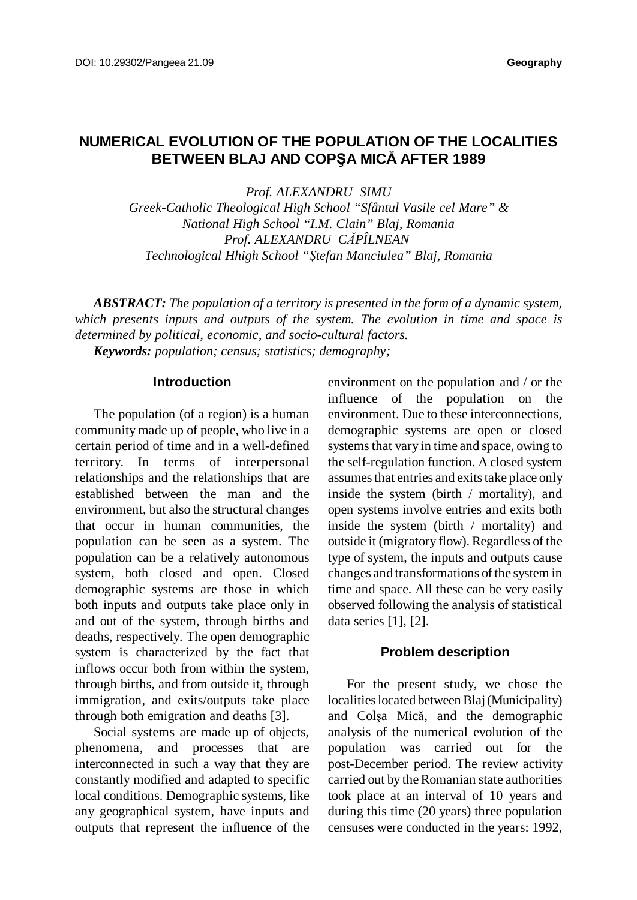# **NUMERICAL EVOLUTION OF THE POPULATION OF THE LOCALITIES BETWEEN BLAJ AND COPŞA MICĂ AFTER 1989**

*Prof. ALEXANDRU SIMU Greek-Catholic Theological High School "Sfântul Vasile cel Mare" & National High School "I.M. Clain" Blaj, Romania Prof. ALEXANDRU CĂPÎLNEAN Technological Hhigh School "Ştefan Manciulea" Blaj, Romania*

*ABSTRACT: The population of a territory is presented in the form of a dynamic system, which presents inputs and outputs of the system. The evolution in time and space is determined by political, economic, and socio-cultural factors. Keywords: population; census; statistics; demography;*

**Introduction**

The population (of a region) is a human community made up of people, who live in a certain period of time and in a well-defined territory. In terms of interpersonal relationships and the relationships that are established between the man and the environment, but also the structural changes that occur in human communities, the population can be seen as a system. The population can be a relatively autonomous system, both closed and open. Closed demographic systems are those in which both inputs and outputs take place only in and out of the system, through births and deaths, respectively. The open demographic system is characterized by the fact that inflows occur both from within the system, through births, and from outside it, through immigration, and exits/outputs take place through both emigration and deaths [3].

Social systems are made up of objects, phenomena, and processes that are interconnected in such a way that they are constantly modified and adapted to specific local conditions. Demographic systems, like any geographical system, have inputs and outputs that represent the influence of the

environment on the population and / or the influence of the population on the environment. Due to these interconnections, demographic systems are open or closed systems that vary in time and space, owing to the self-regulation function. A closed system assumes that entries and exits take place only inside the system (birth / mortality), and open systems involve entries and exits both inside the system (birth / mortality) and outside it (migratory flow). Regardless of the type of system, the inputs and outputs cause changes and transformations of the system in time and space. All these can be very easily observed following the analysis of statistical data series [1], [2].

#### **Problem description**

For the present study, we chose the localities located between Blaj (Municipality) and Colşa Mică, and the demographic analysis of the numerical evolution of the population was carried out for the post-December period. The review activity carried out by the Romanian state authorities took place at an interval of 10 years and during this time (20 years) three population censuses were conducted in the years: 1992,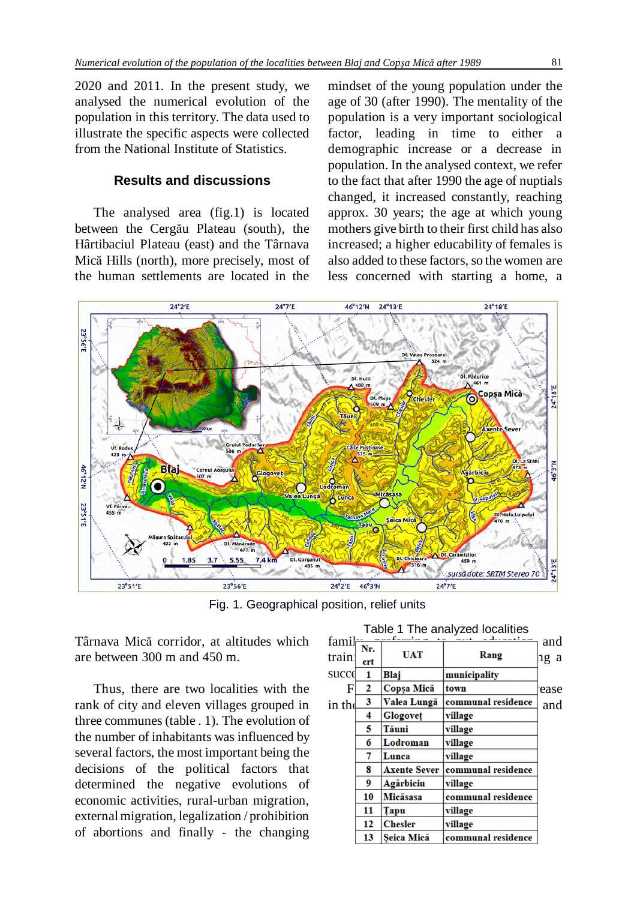2020 and 2011. In the present study, we analysed the numerical evolution of the population in this territory. The data used to illustrate the specific aspects were collected from the National Institute of Statistics.

### **Results and discussions**

The analysed area (fig.1) is located between the Cergău Plateau (south), the Hârtibaciul Plateau (east) and the Târnava Mică Hills (north), more precisely, most of the human settlements are located in the

mindset of the young population under the age of 30 (after 1990). The mentality of the population is a very important sociological factor, leading in time to either a demographic increase or a decrease in population. In the analysed context, we refer to the fact that after 1990 the age of nuptials changed, it increased constantly, reaching approx. 30 years; the age at which young mothers give birth to their first child has also increased; a higher educability of females is also added to these factors, so the women are less concerned with starting a home, a



Fig. 1. Geographical position, relief units

Târnava Mică corridor, at altitudes which are between 300 m and 450 m.

Thus, there are two localities with the rank of city and eleven villages grouped in three communes (table . 1). The evolution of the number of inhabitants was influenced by several factors, the most important being the decisions of the political factors that determined the negative evolutions of economic activities, rural-urban migration, externalmigration, legalization / prohibition of abortions and finally - the changing

| rabio 1 Tho analyzoa lobalitico |     |                          |                    |      |  |  |  |  |
|---------------------------------|-----|--------------------------|--------------------|------|--|--|--|--|
| famil-                          | Nr. | $\ldots$ $\mathcal{C}$ . |                    | and  |  |  |  |  |
| train                           | crt | <b>UAT</b>               | Rang               | ng a |  |  |  |  |
| succe                           | 1   | Blaj                     | municipality       |      |  |  |  |  |
| E                               | 2   | Copsa Mică               | town               | ease |  |  |  |  |
| in the                          | 3   | Valea Lungă              | communal residence | and  |  |  |  |  |
|                                 | 4   | Glogovet                 | village            |      |  |  |  |  |
|                                 | 5   | Tăuni                    | village            |      |  |  |  |  |
|                                 | 6   | Lodroman                 | village            |      |  |  |  |  |
|                                 | 7   | Lunca                    | village            |      |  |  |  |  |
|                                 | 8   | <b>Axente Sever</b>      | communal residence |      |  |  |  |  |
|                                 | 9   | Agârbiciu                | village            |      |  |  |  |  |
|                                 | 10  | <b>Micăsasa</b>          | communal residence |      |  |  |  |  |
|                                 | 11  | Tapu                     | village            |      |  |  |  |  |
|                                 | 12  | <b>Chesler</b>           | village            |      |  |  |  |  |
|                                 | 13  | Seica Mică               | communal residence |      |  |  |  |  |
|                                 |     |                          |                    |      |  |  |  |  |

Table 1 The analyzed localities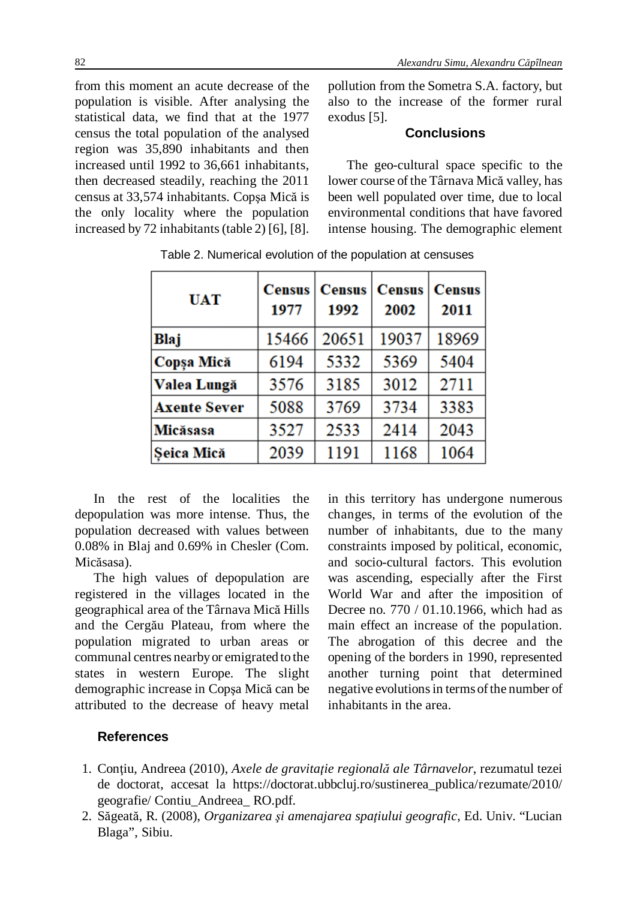from this moment an acute decrease of the population is visible. After analysing the statistical data, we find that at the 1977 census the total population of the analysed region was 35,890 inhabitants and then increased until 1992 to 36,661 inhabitants, then decreased steadily, reaching the 2011 census at 33,574 inhabitants. Copşa Mică is the only locality where the population increased by 72 inhabitants (table 2) [6], [8].

pollution from the Sometra S.A. factory, but also to the increase of the former rural exodus [5].

# **Conclusions**

The geo-cultural space specific to the lower course of the Târnava Mică valley, has been well populated over time, due to local environmental conditions that have favored intense housing. The demographic element

| <b>UAT</b>          | <b>Census</b><br>1977 | <b>Census</b><br>1992 | <b>Census</b><br>2002 | <b>Census</b><br>2011 |
|---------------------|-----------------------|-----------------------|-----------------------|-----------------------|
| Blaj                | 15466                 | 20651                 | 19037                 | 18969                 |
| Copșa Mică          | 6194                  | 5332                  | 5369                  | 5404                  |
| Valea Lungă         | 3576                  | 3185                  | 3012                  | 2711                  |
| <b>Axente Sever</b> | 5088                  | 3769                  | 3734                  | 3383                  |
| Micăsasa            | 3527                  | 2533                  | 2414                  | 2043                  |
| Seica Mică          | 2039                  | 1191                  | 1168                  | 1064                  |

Table 2. Numerical evolution of the population at censuses

In the rest of the localities the depopulation was more intense. Thus, the population decreased with values between 0.08% in Blaj and 0.69% in Chesler (Com. Micăsasa).

The high values of depopulation are registered in the villages located in the geographical area of the Târnava Mică Hills and the Cergău Plateau, from where the population migrated to urban areas or communal centres nearbyor emigrated to the states in western Europe. The slight demographic increase in Copşa Mică can be attributed to the decrease of heavy metal

in this territory has undergone numerous changes, in terms of the evolution of the number of inhabitants, due to the many constraints imposed by political, economic, and socio-cultural factors. This evolution was ascending, especially after the First World War and after the imposition of Decree no. 770 / 01.10.1966, which had as main effect an increase of the population. The abrogation of this decree and the opening of the borders in 1990, represented another turning point that determined negative evolutions in terms of the number of inhabitants in the area.

# **References**

- 1. Conţiu, Andreea (2010), *Axele de gravitaţie regională ale Târnavelor*, rezumatul tezei de doctorat, accesat la https://doctorat.ubbcluj.ro/sustinerea\_publica/rezumate/2010/ geografie/ Contiu\_Andreea\_ RO.pdf.
- 2. Săgeată, R. (2008), *Organizarea şi amenajarea spaţiului geografic*, Ed. Univ. "Lucian Blaga", Sibiu.